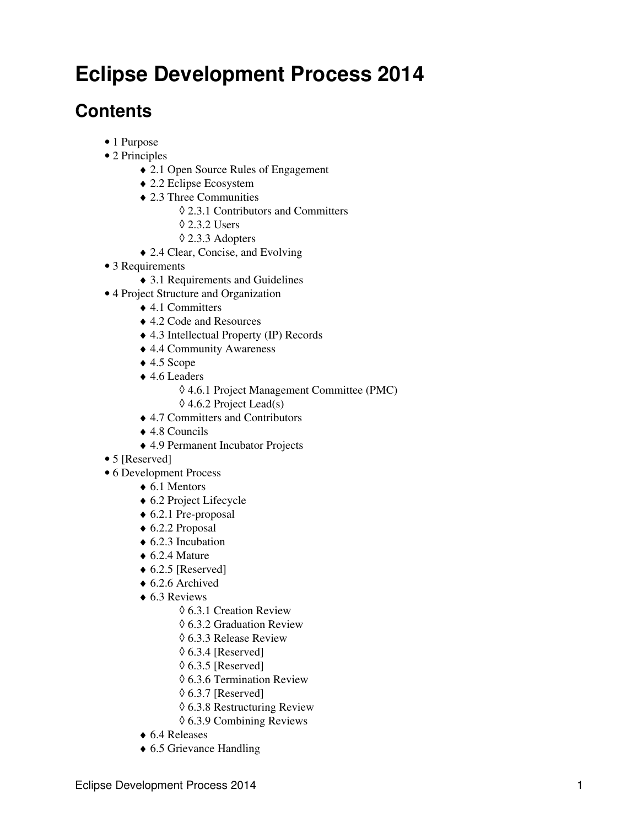# **Eclipse Development Process 2014**

## **Contents**

- 1 Purpose
- 2 Principles
	- ♦ 2.1 Open Source Rules of Engagement
	- ♦ 2.2 Eclipse Ecosystem
	- 2.3 Three Communities ♦
		- ◊ 2.3.1 Contributors and Committers
		- ◊ 2.3.2 Users
		- ◊ 2.3.3 Adopters
	- ♦ 2.4 Clear, Concise, and Evolving
- 3 Requirements
	- ♦ 3.1 Requirements and Guidelines
- 4 Project Structure and Organization
	- ◆ 4.1 Committers
	- ♦ 4.2 Code and Resources
	- ♦ 4.3 Intellectual Property (IP) Records
	- ♦ 4.4 Community Awareness
	- $\triangle$  4.5 Scope
	- 4.6 Leaders ♦
		- ◊ 4.6.1 Project Management Committee (PMC)
		- $\Diamond$  4.6.2 Project Lead(s)
	- ♦ 4.7 Committers and Contributors
	- ♦ 4.8 Councils
	- ♦ 4.9 Permanent Incubator Projects
- 5 [Reserved]
- 6 Development Process
	- $\triangle$  6.1 Mentors
	- ♦ 6.2 Project Lifecycle
	- $\triangle$  6.2.1 Pre-proposal
	- ♦ 6.2.2 Proposal
	- $\triangle$  6.2.3 Incubation
	- $\triangle$  6.2.4 Mature
	- $\triangle$  6.2.5 [Reserved]
	- $\triangle$  6.2.6 Archived
	- ◆ 6.3 Reviews
		- ◊ 6.3.1 Creation Review
		- ◊ 6.3.2 Graduation Review
		- ◊ 6.3.3 Release Review
		- $\Diamond$  6.3.4 [Reserved]
		- $\lozenge$  6.3.5 [Reserved]
		- ◊ 6.3.6 Termination Review
		- $\Diamond$  6.3.7 [Reserved]
		- ◊ 6.3.8 Restructuring Review
		- ◊ 6.3.9 Combining Reviews
	- ♦ 6.4 Releases
	- ♦ 6.5 Grievance Handling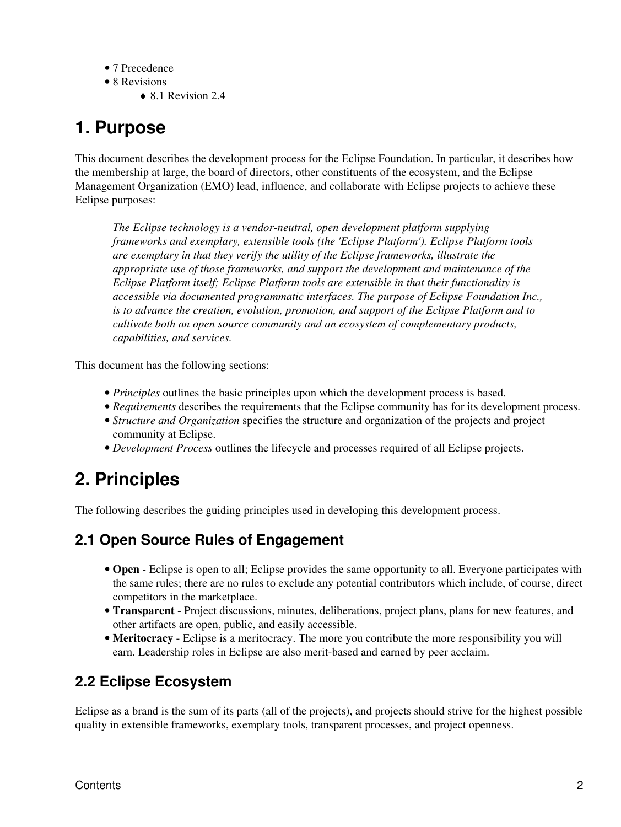- 7 Precedence
- 8 Revisions
	- $\triangle$  8.1 Revision 2.4

# **1. Purpose**

This document describes the development process for the Eclipse Foundation. In particular, it describes how the membership at large, the board of directors, other constituents of the ecosystem, and the Eclipse Management Organization (EMO) lead, influence, and collaborate with Eclipse projects to achieve these Eclipse purposes:

*The Eclipse technology is a vendor-neutral, open development platform supplying frameworks and exemplary, extensible tools (the 'Eclipse Platform'). Eclipse Platform tools are exemplary in that they verify the utility of the Eclipse frameworks, illustrate the appropriate use of those frameworks, and support the development and maintenance of the Eclipse Platform itself; Eclipse Platform tools are extensible in that their functionality is accessible via documented programmatic interfaces. The purpose of Eclipse Foundation Inc., is to advance the creation, evolution, promotion, and support of the Eclipse Platform and to cultivate both an open source community and an ecosystem of complementary products, capabilities, and services.*

This document has the following sections:

- *Principles* outlines the basic principles upon which the development process is based.
- *Requirements* describes the requirements that the Eclipse community has for its development process.
- *Structure and Organization* specifies the structure and organization of the projects and project community at Eclipse.
- *Development Process* outlines the lifecycle and processes required of all Eclipse projects.

# **2. Principles**

The following describes the guiding principles used in developing this development process.

### **2.1 Open Source Rules of Engagement**

- **Open** Eclipse is open to all; Eclipse provides the same opportunity to all. Everyone participates with the same rules; there are no rules to exclude any potential contributors which include, of course, direct competitors in the marketplace.
- **Transparent** Project discussions, minutes, deliberations, project plans, plans for new features, and other artifacts are open, public, and easily accessible.
- **Meritocracy** Eclipse is a meritocracy. The more you contribute the more responsibility you will earn. Leadership roles in Eclipse are also merit-based and earned by peer acclaim.

### **2.2 Eclipse Ecosystem**

Eclipse as a brand is the sum of its parts (all of the projects), and projects should strive for the highest possible quality in extensible frameworks, exemplary tools, transparent processes, and project openness.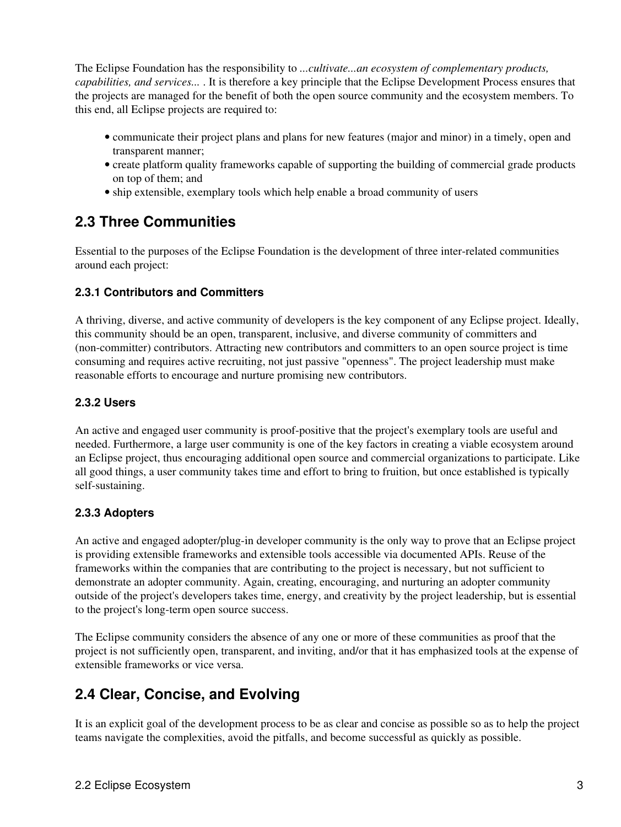The Eclipse Foundation has the responsibility to *...cultivate...an ecosystem of complementary products, capabilities, and services...* . It is therefore a key principle that the Eclipse Development Process ensures that the projects are managed for the benefit of both the open source community and the ecosystem members. To this end, all Eclipse projects are required to:

- communicate their project plans and plans for new features (major and minor) in a timely, open and transparent manner;
- create platform quality frameworks capable of supporting the building of commercial grade products on top of them; and
- ship extensible, exemplary tools which help enable a broad community of users

### **2.3 Three Communities**

Essential to the purposes of the Eclipse Foundation is the development of three inter-related communities around each project:

### **2.3.1 Contributors and Committers**

A thriving, diverse, and active community of developers is the key component of any Eclipse project. Ideally, this community should be an open, transparent, inclusive, and diverse community of committers and (non-committer) contributors. Attracting new contributors and committers to an open source project is time consuming and requires active recruiting, not just passive "openness". The project leadership must make reasonable efforts to encourage and nurture promising new contributors.

### **2.3.2 Users**

An active and engaged user community is proof-positive that the project's exemplary tools are useful and needed. Furthermore, a large user community is one of the key factors in creating a viable ecosystem around an Eclipse project, thus encouraging additional open source and commercial organizations to participate. Like all good things, a user community takes time and effort to bring to fruition, but once established is typically self-sustaining.

### **2.3.3 Adopters**

An active and engaged adopter/plug-in developer community is the only way to prove that an Eclipse project is providing extensible frameworks and extensible tools accessible via documented APIs. Reuse of the frameworks within the companies that are contributing to the project is necessary, but not sufficient to demonstrate an adopter community. Again, creating, encouraging, and nurturing an adopter community outside of the project's developers takes time, energy, and creativity by the project leadership, but is essential to the project's long-term open source success.

The Eclipse community considers the absence of any one or more of these communities as proof that the project is not sufficiently open, transparent, and inviting, and/or that it has emphasized tools at the expense of extensible frameworks or vice versa.

### **2.4 Clear, Concise, and Evolving**

It is an explicit goal of the development process to be as clear and concise as possible so as to help the project teams navigate the complexities, avoid the pitfalls, and become successful as quickly as possible.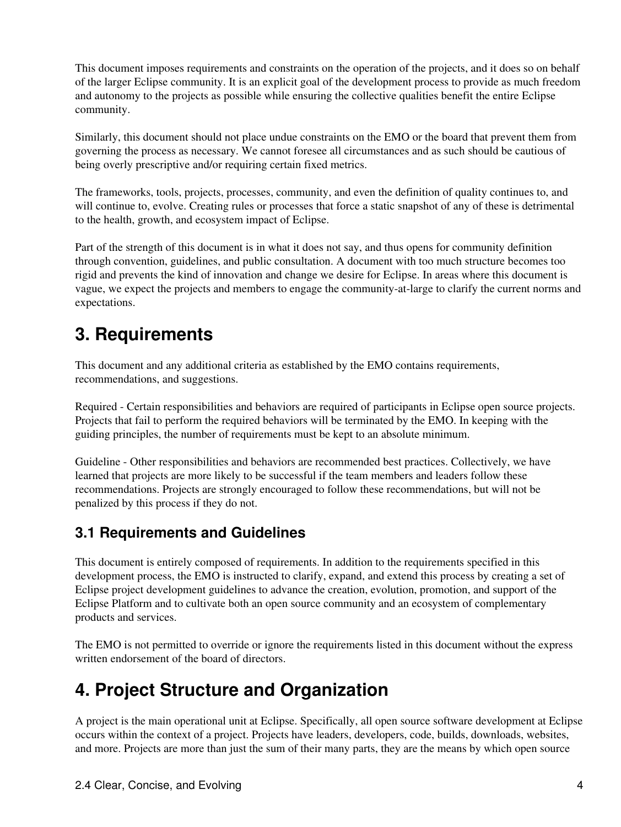This document imposes requirements and constraints on the operation of the projects, and it does so on behalf of the larger Eclipse community. It is an explicit goal of the development process to provide as much freedom and autonomy to the projects as possible while ensuring the collective qualities benefit the entire Eclipse community.

Similarly, this document should not place undue constraints on the EMO or the board that prevent them from governing the process as necessary. We cannot foresee all circumstances and as such should be cautious of being overly prescriptive and/or requiring certain fixed metrics.

The frameworks, tools, projects, processes, community, and even the definition of quality continues to, and will continue to, evolve. Creating rules or processes that force a static snapshot of any of these is detrimental to the health, growth, and ecosystem impact of Eclipse.

Part of the strength of this document is in what it does not say, and thus opens for community definition through convention, guidelines, and public consultation. A document with too much structure becomes too rigid and prevents the kind of innovation and change we desire for Eclipse. In areas where this document is vague, we expect the projects and members to engage the community-at-large to clarify the current norms and expectations.

## **3. Requirements**

This document and any additional criteria as established by the EMO contains requirements, recommendations, and suggestions.

Required - Certain responsibilities and behaviors are required of participants in Eclipse open source projects. Projects that fail to perform the required behaviors will be terminated by the EMO. In keeping with the guiding principles, the number of requirements must be kept to an absolute minimum.

Guideline - Other responsibilities and behaviors are recommended best practices. Collectively, we have learned that projects are more likely to be successful if the team members and leaders follow these recommendations. Projects are strongly encouraged to follow these recommendations, but will not be penalized by this process if they do not.

### **3.1 Requirements and Guidelines**

This document is entirely composed of requirements. In addition to the requirements specified in this development process, the EMO is instructed to clarify, expand, and extend this process by creating a set of Eclipse project development guidelines to advance the creation, evolution, promotion, and support of the Eclipse Platform and to cultivate both an open source community and an ecosystem of complementary products and services.

The EMO is not permitted to override or ignore the requirements listed in this document without the express written endorsement of the board of directors.

# **4. Project Structure and Organization**

A project is the main operational unit at Eclipse. Specifically, all open source software development at Eclipse occurs within the context of a project. Projects have leaders, developers, code, builds, downloads, websites, and more. Projects are more than just the sum of their many parts, they are the means by which open source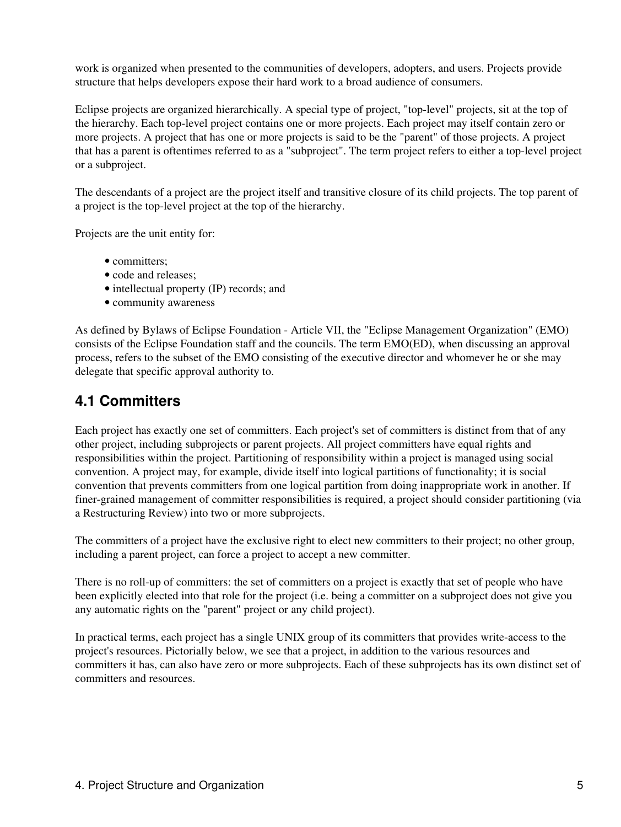work is organized when presented to the communities of developers, adopters, and users. Projects provide structure that helps developers expose their hard work to a broad audience of consumers.

Eclipse projects are organized hierarchically. A special type of project, "top-level" projects, sit at the top of the hierarchy. Each top-level project contains one or more projects. Each project may itself contain zero or more projects. A project that has one or more projects is said to be the "parent" of those projects. A project that has a parent is oftentimes referred to as a "subproject". The term project refers to either a top-level project or a subproject.

The descendants of a project are the project itself and transitive closure of its child projects. The top parent of a project is the top-level project at the top of the hierarchy.

Projects are the unit entity for:

- committers:
- code and releases;
- intellectual property (IP) records; and
- community awareness

As defined by Bylaws of Eclipse Foundation - Article VII, the "Eclipse Management Organization" (EMO) consists of the Eclipse Foundation staff and the councils. The term EMO(ED), when discussing an approval process, refers to the subset of the EMO consisting of the executive director and whomever he or she may delegate that specific approval authority to.

### **4.1 Committers**

Each project has exactly one set of committers. Each project's set of committers is distinct from that of any other project, including subprojects or parent projects. All project committers have equal rights and responsibilities within the project. Partitioning of responsibility within a project is managed using social convention. A project may, for example, divide itself into logical partitions of functionality; it is social convention that prevents committers from one logical partition from doing inappropriate work in another. If finer-grained management of committer responsibilities is required, a project should consider partitioning (via a Restructuring Review) into two or more subprojects.

The committers of a project have the exclusive right to elect new committers to their project; no other group, including a parent project, can force a project to accept a new committer.

There is no roll-up of committers: the set of committers on a project is exactly that set of people who have been explicitly elected into that role for the project (i.e. being a committer on a subproject does not give you any automatic rights on the "parent" project or any child project).

In practical terms, each project has a single UNIX group of its committers that provides write-access to the project's resources. Pictorially below, we see that a project, in addition to the various resources and committers it has, can also have zero or more subprojects. Each of these subprojects has its own distinct set of committers and resources.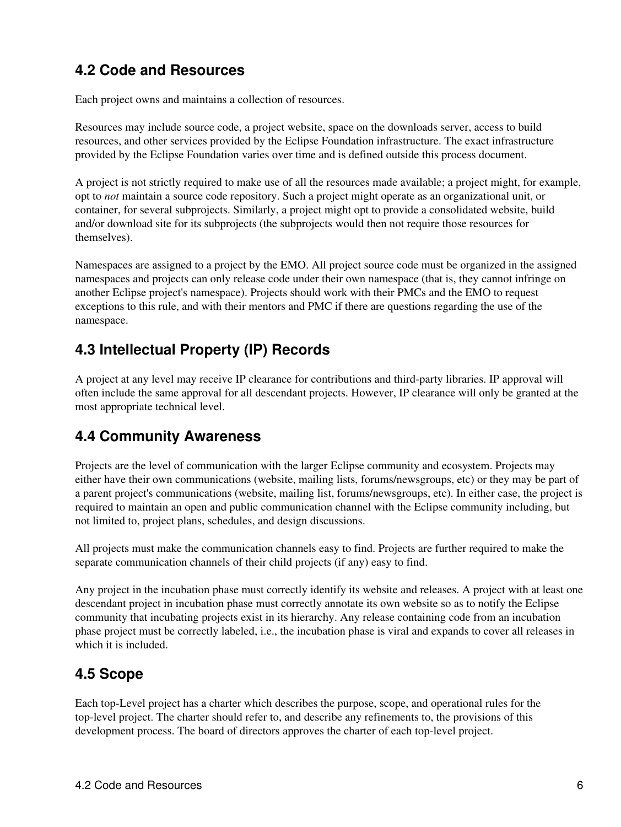### **4.2 Code and Resources**

Each project owns and maintains a collection of resources.

Resources may include source code, a project website, space on the downloads server, access to build resources, and other services provided by the Eclipse Foundation infrastructure. The exact infrastructure provided by the Eclipse Foundation varies over time and is defined outside this process document.

A project is not strictly required to make use of all the resources made available; a project might, for example, opt to *not* maintain a source code repository. Such a project might operate as an organizational unit, or container, for several subprojects. Similarly, a project might opt to provide a consolidated website, build and/or download site for its subprojects (the subprojects would then not require those resources for themselves).

Namespaces are assigned to a project by the EMO. All project source code must be organized in the assigned namespaces and projects can only release code under their own namespace (that is, they cannot infringe on another Eclipse project's namespace). Projects should work with their PMCs and the EMO to request exceptions to this rule, and with their mentors and PMC if there are questions regarding the use of the namespace.

### **4.3 Intellectual Property (IP) Records**

A project at any level may receive IP clearance for contributions and third-party libraries. IP approval will often include the same approval for all descendant projects. However, IP clearance will only be granted at the most appropriate technical level.

### **4.4 Community Awareness**

Projects are the level of communication with the larger Eclipse community and ecosystem. Projects may either have their own communications (website, mailing lists, forums/newsgroups, etc) or they may be part of a parent project's communications (website, mailing list, forums/newsgroups, etc). In either case, the project is required to maintain an open and public communication channel with the Eclipse community including, but not limited to, project plans, schedules, and design discussions.

All projects must make the communication channels easy to find. Projects are further required to make the separate communication channels of their child projects (if any) easy to find.

Any project in the incubation phase must correctly identify its website and releases. A project with at least one descendant project in incubation phase must correctly annotate its own website so as to notify the Eclipse community that incubating projects exist in its hierarchy. Any release containing code from an incubation phase project must be correctly labeled, i.e., the incubation phase is viral and expands to cover all releases in which it is included.

### **4.5 Scope**

Each top-Level project has a charter which describes the purpose, scope, and operational rules for the top-level project. The charter should refer to, and describe any refinements to, the provisions of this development process. The board of directors approves the charter of each top-level project.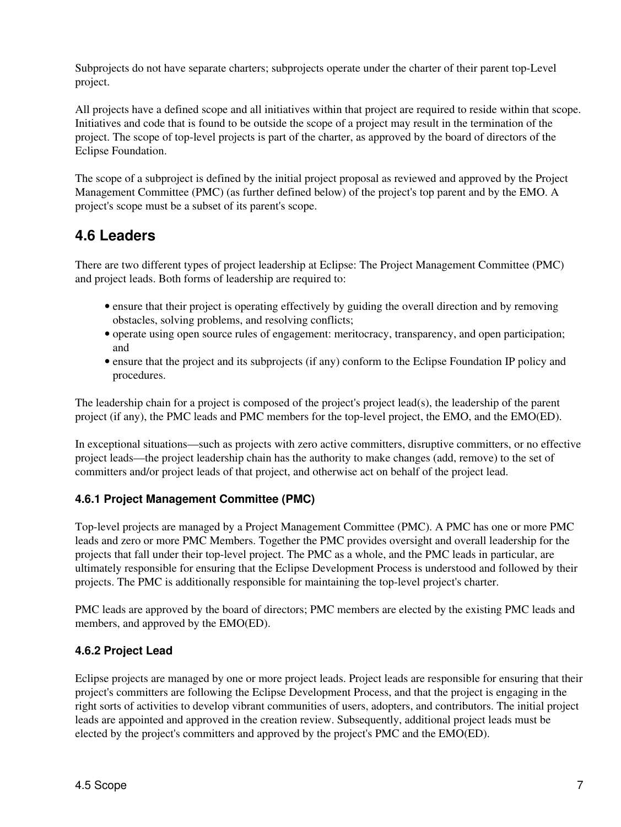Subprojects do not have separate charters; subprojects operate under the charter of their parent top-Level project.

All projects have a defined scope and all initiatives within that project are required to reside within that scope. Initiatives and code that is found to be outside the scope of a project may result in the termination of the project. The scope of top-level projects is part of the charter, as approved by the board of directors of the Eclipse Foundation.

The scope of a subproject is defined by the initial project proposal as reviewed and approved by the Project Management Committee (PMC) (as further defined below) of the project's top parent and by the EMO. A project's scope must be a subset of its parent's scope.

### **4.6 Leaders**

There are two different types of project leadership at Eclipse: The Project Management Committee (PMC) and project leads. Both forms of leadership are required to:

- ensure that their project is operating effectively by guiding the overall direction and by removing obstacles, solving problems, and resolving conflicts;
- operate using open source rules of engagement: meritocracy, transparency, and open participation; and
- ensure that the project and its subprojects (if any) conform to the Eclipse Foundation IP policy and procedures.

The leadership chain for a project is composed of the project's project lead(s), the leadership of the parent project (if any), the PMC leads and PMC members for the top-level project, the EMO, and the EMO(ED).

In exceptional situations—such as projects with zero active committers, disruptive committers, or no effective project leads—the project leadership chain has the authority to make changes (add, remove) to the set of committers and/or project leads of that project, and otherwise act on behalf of the project lead.

#### **4.6.1 Project Management Committee (PMC)**

Top-level projects are managed by a Project Management Committee (PMC). A PMC has one or more PMC leads and zero or more PMC Members. Together the PMC provides oversight and overall leadership for the projects that fall under their top-level project. The PMC as a whole, and the PMC leads in particular, are ultimately responsible for ensuring that the Eclipse Development Process is understood and followed by their projects. The PMC is additionally responsible for maintaining the top-level project's charter.

PMC leads are approved by the board of directors; PMC members are elected by the existing PMC leads and members, and approved by the EMO(ED).

#### **4.6.2 Project Lead**

Eclipse projects are managed by one or more project leads. Project leads are responsible for ensuring that their project's committers are following the Eclipse Development Process, and that the project is engaging in the right sorts of activities to develop vibrant communities of users, adopters, and contributors. The initial project leads are appointed and approved in the creation review. Subsequently, additional project leads must be elected by the project's committers and approved by the project's PMC and the EMO(ED).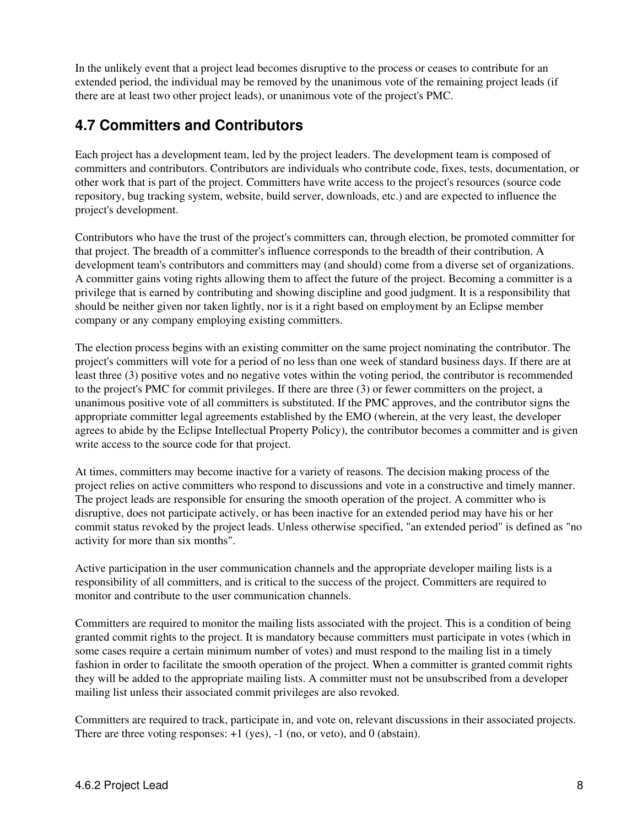In the unlikely event that a project lead becomes disruptive to the process or ceases to contribute for an extended period, the individual may be removed by the unanimous vote of the remaining project leads (if there are at least two other project leads), or unanimous vote of the project's PMC.

### **4.7 Committers and Contributors**

Each project has a development team, led by the project leaders. The development team is composed of committers and contributors. Contributors are individuals who contribute code, fixes, tests, documentation, or other work that is part of the project. Committers have write access to the project's resources (source code repository, bug tracking system, website, build server, downloads, etc.) and are expected to influence the project's development.

Contributors who have the trust of the project's committers can, through election, be promoted committer for that project. The breadth of a committer's influence corresponds to the breadth of their contribution. A development team's contributors and committers may (and should) come from a diverse set of organizations. A committer gains voting rights allowing them to affect the future of the project. Becoming a committer is a privilege that is earned by contributing and showing discipline and good judgment. It is a responsibility that should be neither given nor taken lightly, nor is it a right based on employment by an Eclipse member company or any company employing existing committers.

The election process begins with an existing committer on the same project nominating the contributor. The project's committers will vote for a period of no less than one week of standard business days. If there are at least three (3) positive votes and no negative votes within the voting period, the contributor is recommended to the project's PMC for commit privileges. If there are three (3) or fewer committers on the project, a unanimous positive vote of all committers is substituted. If the PMC approves, and the contributor signs the appropriate committer legal agreements established by the EMO (wherein, at the very least, the developer agrees to abide by the Eclipse Intellectual Property Policy), the contributor becomes a committer and is given write access to the source code for that project.

At times, committers may become inactive for a variety of reasons. The decision making process of the project relies on active committers who respond to discussions and vote in a constructive and timely manner. The project leads are responsible for ensuring the smooth operation of the project. A committer who is disruptive, does not participate actively, or has been inactive for an extended period may have his or her commit status revoked by the project leads. Unless otherwise specified, "an extended period" is defined as "no activity for more than six months".

Active participation in the user communication channels and the appropriate developer mailing lists is a responsibility of all committers, and is critical to the success of the project. Committers are required to monitor and contribute to the user communication channels.

Committers are required to monitor the mailing lists associated with the project. This is a condition of being granted commit rights to the project. It is mandatory because committers must participate in votes (which in some cases require a certain minimum number of votes) and must respond to the mailing list in a timely fashion in order to facilitate the smooth operation of the project. When a committer is granted commit rights they will be added to the appropriate mailing lists. A committer must not be unsubscribed from a developer mailing list unless their associated commit privileges are also revoked.

Committers are required to track, participate in, and vote on, relevant discussions in their associated projects. There are three voting responses:  $+1$  (yes),  $-1$  (no, or veto), and 0 (abstain).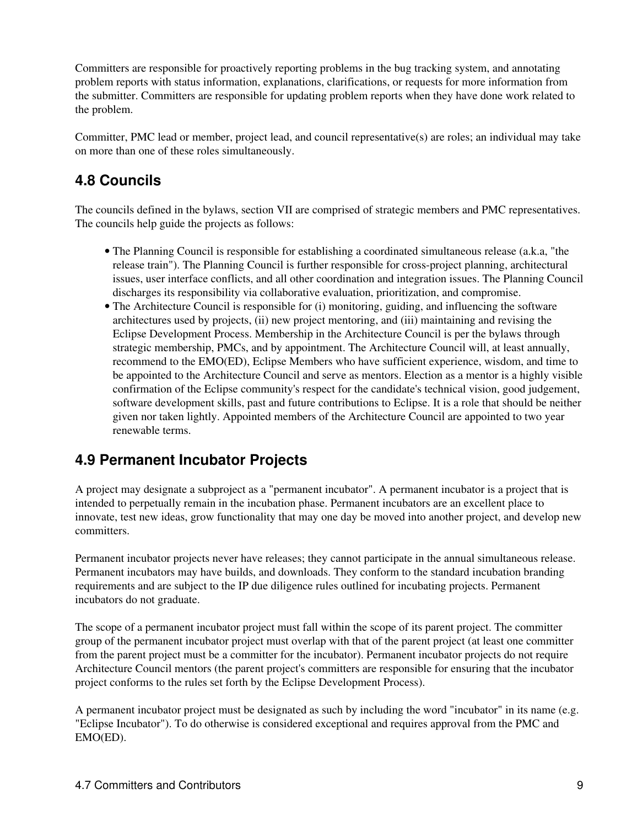Committers are responsible for proactively reporting problems in the bug tracking system, and annotating problem reports with status information, explanations, clarifications, or requests for more information from the submitter. Committers are responsible for updating problem reports when they have done work related to the problem.

Committer, PMC lead or member, project lead, and council representative(s) are roles; an individual may take on more than one of these roles simultaneously.

### **4.8 Councils**

The councils defined in the bylaws, section VII are comprised of strategic members and PMC representatives. The councils help guide the projects as follows:

- The Planning Council is responsible for establishing a coordinated simultaneous release (a.k.a, "the release train"). The Planning Council is further responsible for cross-project planning, architectural issues, user interface conflicts, and all other coordination and integration issues. The Planning Council discharges its responsibility via collaborative evaluation, prioritization, and compromise.
- The Architecture Council is responsible for (i) monitoring, guiding, and influencing the software architectures used by projects, (ii) new project mentoring, and (iii) maintaining and revising the Eclipse Development Process. Membership in the Architecture Council is per the bylaws through strategic membership, PMCs, and by appointment. The Architecture Council will, at least annually, recommend to the EMO(ED), Eclipse Members who have sufficient experience, wisdom, and time to be appointed to the Architecture Council and serve as mentors. Election as a mentor is a highly visible confirmation of the Eclipse community's respect for the candidate's technical vision, good judgement, software development skills, past and future contributions to Eclipse. It is a role that should be neither given nor taken lightly. Appointed members of the Architecture Council are appointed to two year renewable terms.

### **4.9 Permanent Incubator Projects**

A project may designate a subproject as a "permanent incubator". A permanent incubator is a project that is intended to perpetually remain in the incubation phase. Permanent incubators are an excellent place to innovate, test new ideas, grow functionality that may one day be moved into another project, and develop new committers.

Permanent incubator projects never have releases; they cannot participate in the annual simultaneous release. Permanent incubators may have builds, and downloads. They conform to the standard incubation branding requirements and are subject to the IP due diligence rules outlined for incubating projects. Permanent incubators do not graduate.

The scope of a permanent incubator project must fall within the scope of its parent project. The committer group of the permanent incubator project must overlap with that of the parent project (at least one committer from the parent project must be a committer for the incubator). Permanent incubator projects do not require Architecture Council mentors (the parent project's committers are responsible for ensuring that the incubator project conforms to the rules set forth by the Eclipse Development Process).

A permanent incubator project must be designated as such by including the word "incubator" in its name (e.g. "Eclipse Incubator"). To do otherwise is considered exceptional and requires approval from the PMC and EMO(ED).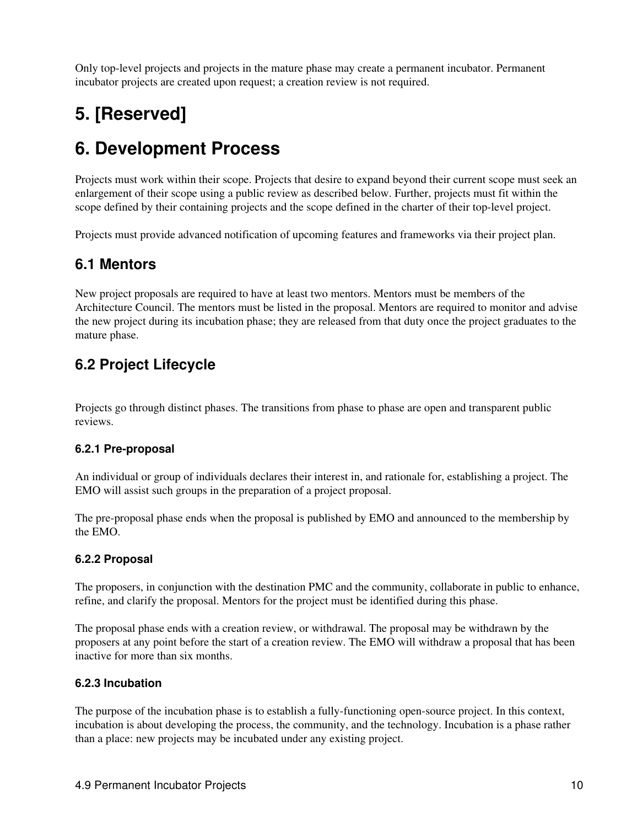Only top-level projects and projects in the mature phase may create a permanent incubator. Permanent incubator projects are created upon request; a creation review is not required.

# **5. [Reserved]**

## **6. Development Process**

Projects must work within their scope. Projects that desire to expand beyond their current scope must seek an enlargement of their scope using a public review as described below. Further, projects must fit within the scope defined by their containing projects and the scope defined in the charter of their top-level project.

Projects must provide advanced notification of upcoming features and frameworks via their project plan.

### **6.1 Mentors**

New project proposals are required to have at least two mentors. Mentors must be members of the Architecture Council. The mentors must be listed in the proposal. Mentors are required to monitor and advise the new project during its incubation phase; they are released from that duty once the project graduates to the mature phase.

### **6.2 Project Lifecycle**

Projects go through distinct phases. The transitions from phase to phase are open and transparent public reviews.

#### **6.2.1 Pre-proposal**

An individual or group of individuals declares their interest in, and rationale for, establishing a project. The EMO will assist such groups in the preparation of a project proposal.

The pre-proposal phase ends when the proposal is published by EMO and announced to the membership by the EMO.

#### **6.2.2 Proposal**

The proposers, in conjunction with the destination PMC and the community, collaborate in public to enhance, refine, and clarify the proposal. Mentors for the project must be identified during this phase.

The proposal phase ends with a creation review, or withdrawal. The proposal may be withdrawn by the proposers at any point before the start of a creation review. The EMO will withdraw a proposal that has been inactive for more than six months.

#### **6.2.3 Incubation**

The purpose of the incubation phase is to establish a fully-functioning open-source project. In this context, incubation is about developing the process, the community, and the technology. Incubation is a phase rather than a place: new projects may be incubated under any existing project.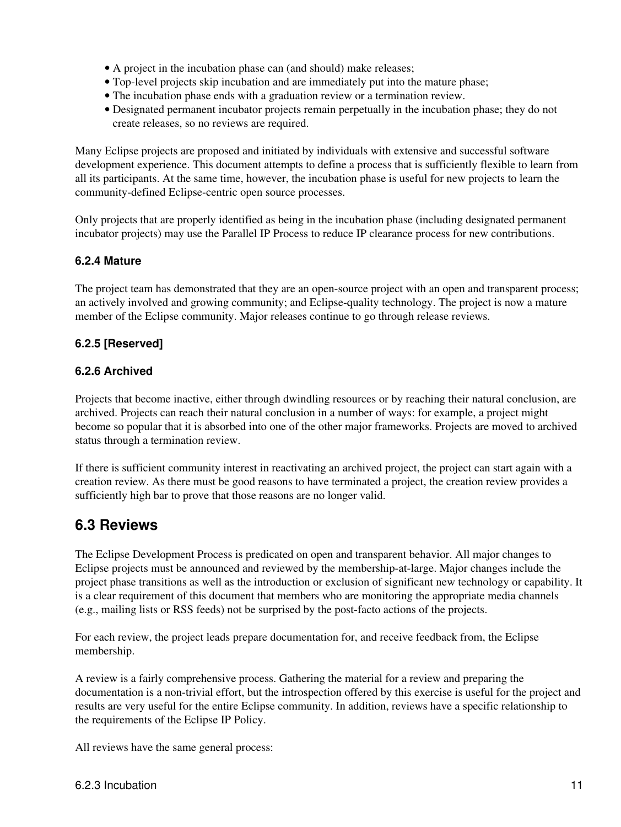- A project in the incubation phase can (and should) make releases;
- Top-level projects skip incubation and are immediately put into the mature phase;
- The incubation phase ends with a graduation review or a termination review.
- Designated permanent incubator projects remain perpetually in the incubation phase; they do not create releases, so no reviews are required.

Many Eclipse projects are proposed and initiated by individuals with extensive and successful software development experience. This document attempts to define a process that is sufficiently flexible to learn from all its participants. At the same time, however, the incubation phase is useful for new projects to learn the community-defined Eclipse-centric open source processes.

Only projects that are properly identified as being in the incubation phase (including designated permanent incubator projects) may use the Parallel IP Process to reduce IP clearance process for new contributions.

### **6.2.4 Mature**

The project team has demonstrated that they are an open-source project with an open and transparent process; an actively involved and growing community; and Eclipse-quality technology. The project is now a mature member of the Eclipse community. Major releases continue to go through release reviews.

### **6.2.5 [Reserved]**

### **6.2.6 Archived**

Projects that become inactive, either through dwindling resources or by reaching their natural conclusion, are archived. Projects can reach their natural conclusion in a number of ways: for example, a project might become so popular that it is absorbed into one of the other major frameworks. Projects are moved to archived status through a termination review.

If there is sufficient community interest in reactivating an archived project, the project can start again with a creation review. As there must be good reasons to have terminated a project, the creation review provides a sufficiently high bar to prove that those reasons are no longer valid.

### **6.3 Reviews**

The Eclipse Development Process is predicated on open and transparent behavior. All major changes to Eclipse projects must be announced and reviewed by the membership-at-large. Major changes include the project phase transitions as well as the introduction or exclusion of significant new technology or capability. It is a clear requirement of this document that members who are monitoring the appropriate media channels (e.g., mailing lists or RSS feeds) not be surprised by the post-facto actions of the projects.

For each review, the project leads prepare documentation for, and receive feedback from, the Eclipse membership.

A review is a fairly comprehensive process. Gathering the material for a review and preparing the documentation is a non-trivial effort, but the introspection offered by this exercise is useful for the project and results are very useful for the entire Eclipse community. In addition, reviews have a specific relationship to the requirements of the Eclipse IP Policy.

All reviews have the same general process: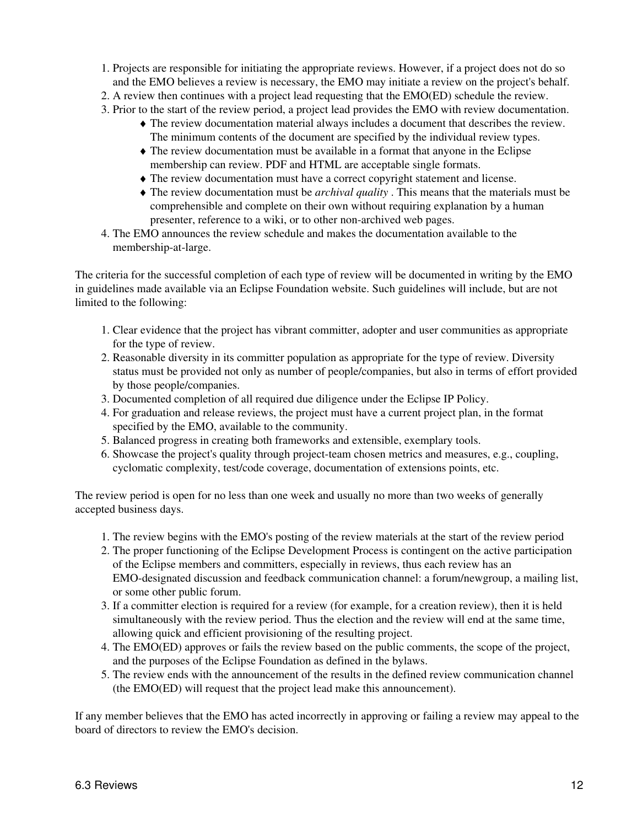- 1. Projects are responsible for initiating the appropriate reviews. However, if a project does not do so and the EMO believes a review is necessary, the EMO may initiate a review on the project's behalf.
- 2. A review then continues with a project lead requesting that the EMO(ED) schedule the review.
- 3. Prior to the start of the review period, a project lead provides the EMO with review documentation.
	- The review documentation material always includes a document that describes the review. ♦ The minimum contents of the document are specified by the individual review types.
	- The review documentation must be available in a format that anyone in the Eclipse ♦ membership can review. PDF and HTML are acceptable single formats.
	- ♦ The review documentation must have a correct copyright statement and license.
	- The review documentation must be *archival quality* . This means that the materials must be ♦ comprehensible and complete on their own without requiring explanation by a human presenter, reference to a wiki, or to other non-archived web pages.
- The EMO announces the review schedule and makes the documentation available to the 4. membership-at-large.

The criteria for the successful completion of each type of review will be documented in writing by the EMO in guidelines made available via an Eclipse Foundation website. Such guidelines will include, but are not limited to the following:

- 1. Clear evidence that the project has vibrant committer, adopter and user communities as appropriate for the type of review.
- 2. Reasonable diversity in its committer population as appropriate for the type of review. Diversity status must be provided not only as number of people/companies, but also in terms of effort provided by those people/companies.
- 3. Documented completion of all required due diligence under the Eclipse IP Policy.
- 4. For graduation and release reviews, the project must have a current project plan, in the format specified by the EMO, available to the community.
- 5. Balanced progress in creating both frameworks and extensible, exemplary tools.
- 6. Showcase the project's quality through project-team chosen metrics and measures, e.g., coupling, cyclomatic complexity, test/code coverage, documentation of extensions points, etc.

The review period is open for no less than one week and usually no more than two weeks of generally accepted business days.

- 1. The review begins with the EMO's posting of the review materials at the start of the review period
- 2. The proper functioning of the Eclipse Development Process is contingent on the active participation of the Eclipse members and committers, especially in reviews, thus each review has an EMO-designated discussion and feedback communication channel: a forum/newgroup, a mailing list, or some other public forum.
- 3. If a committer election is required for a review (for example, for a creation review), then it is held simultaneously with the review period. Thus the election and the review will end at the same time, allowing quick and efficient provisioning of the resulting project.
- The EMO(ED) approves or fails the review based on the public comments, the scope of the project, 4. and the purposes of the Eclipse Foundation as defined in the bylaws.
- 5. The review ends with the announcement of the results in the defined review communication channel (the EMO(ED) will request that the project lead make this announcement).

If any member believes that the EMO has acted incorrectly in approving or failing a review may appeal to the board of directors to review the EMO's decision.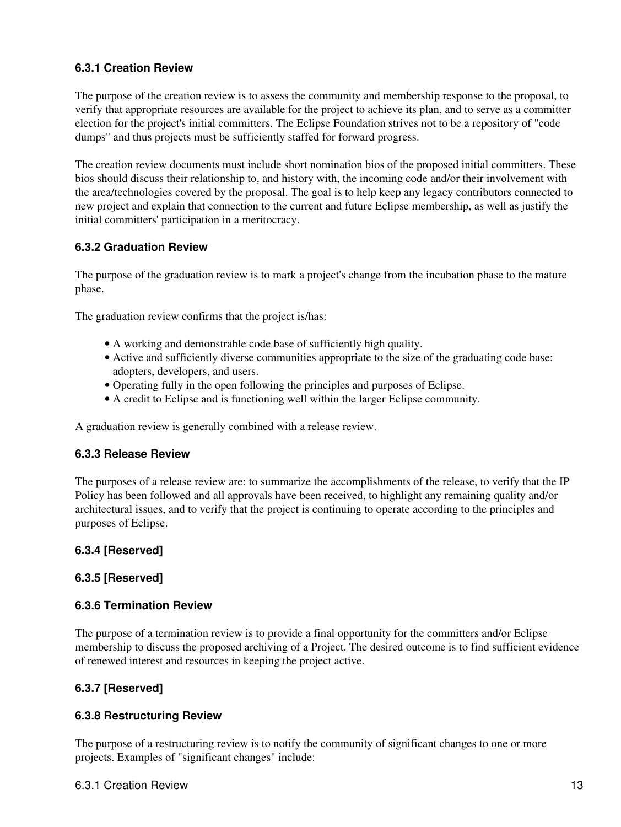#### **6.3.1 Creation Review**

The purpose of the creation review is to assess the community and membership response to the proposal, to verify that appropriate resources are available for the project to achieve its plan, and to serve as a committer election for the project's initial committers. The Eclipse Foundation strives not to be a repository of "code dumps" and thus projects must be sufficiently staffed for forward progress.

The creation review documents must include short nomination bios of the proposed initial committers. These bios should discuss their relationship to, and history with, the incoming code and/or their involvement with the area/technologies covered by the proposal. The goal is to help keep any legacy contributors connected to new project and explain that connection to the current and future Eclipse membership, as well as justify the initial committers' participation in a meritocracy.

#### **6.3.2 Graduation Review**

The purpose of the graduation review is to mark a project's change from the incubation phase to the mature phase.

The graduation review confirms that the project is/has:

- A working and demonstrable code base of sufficiently high quality.
- Active and sufficiently diverse communities appropriate to the size of the graduating code base: adopters, developers, and users.
- Operating fully in the open following the principles and purposes of Eclipse.
- A credit to Eclipse and is functioning well within the larger Eclipse community.

A graduation review is generally combined with a release review.

#### **6.3.3 Release Review**

The purposes of a release review are: to summarize the accomplishments of the release, to verify that the IP Policy has been followed and all approvals have been received, to highlight any remaining quality and/or architectural issues, and to verify that the project is continuing to operate according to the principles and purposes of Eclipse.

#### **6.3.4 [Reserved]**

#### **6.3.5 [Reserved]**

#### **6.3.6 Termination Review**

The purpose of a termination review is to provide a final opportunity for the committers and/or Eclipse membership to discuss the proposed archiving of a Project. The desired outcome is to find sufficient evidence of renewed interest and resources in keeping the project active.

#### **6.3.7 [Reserved]**

#### **6.3.8 Restructuring Review**

The purpose of a restructuring review is to notify the community of significant changes to one or more projects. Examples of "significant changes" include:

#### 6.3.1 Creation Review 13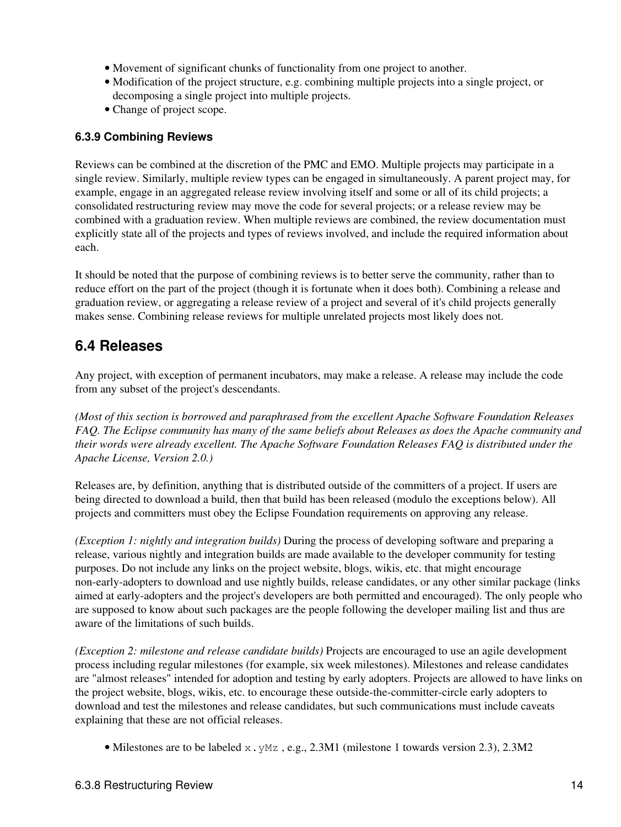- Movement of significant chunks of functionality from one project to another.
- Modification of the project structure, e.g. combining multiple projects into a single project, or decomposing a single project into multiple projects.
- Change of project scope.

#### **6.3.9 Combining Reviews**

Reviews can be combined at the discretion of the PMC and EMO. Multiple projects may participate in a single review. Similarly, multiple review types can be engaged in simultaneously. A parent project may, for example, engage in an aggregated release review involving itself and some or all of its child projects; a consolidated restructuring review may move the code for several projects; or a release review may be combined with a graduation review. When multiple reviews are combined, the review documentation must explicitly state all of the projects and types of reviews involved, and include the required information about each.

It should be noted that the purpose of combining reviews is to better serve the community, rather than to reduce effort on the part of the project (though it is fortunate when it does both). Combining a release and graduation review, or aggregating a release review of a project and several of it's child projects generally makes sense. Combining release reviews for multiple unrelated projects most likely does not.

### **6.4 Releases**

Any project, with exception of permanent incubators, may make a release. A release may include the code from any subset of the project's descendants.

*(Most of this section is borrowed and paraphrased from the excellent Apache Software Foundation Releases FAQ. The Eclipse community has many of the same beliefs about Releases as does the Apache community and their words were already excellent. The Apache Software Foundation Releases FAQ is distributed under the Apache License, Version 2.0.)*

Releases are, by definition, anything that is distributed outside of the committers of a project. If users are being directed to download a build, then that build has been released (modulo the exceptions below). All projects and committers must obey the Eclipse Foundation requirements on approving any release.

*(Exception 1: nightly and integration builds)* During the process of developing software and preparing a release, various nightly and integration builds are made available to the developer community for testing purposes. Do not include any links on the project website, blogs, wikis, etc. that might encourage non-early-adopters to download and use nightly builds, release candidates, or any other similar package (links aimed at early-adopters and the project's developers are both permitted and encouraged). The only people who are supposed to know about such packages are the people following the developer mailing list and thus are aware of the limitations of such builds.

*(Exception 2: milestone and release candidate builds)* Projects are encouraged to use an agile development process including regular milestones (for example, six week milestones). Milestones and release candidates are "almost releases" intended for adoption and testing by early adopters. Projects are allowed to have links on the project website, blogs, wikis, etc. to encourage these outside-the-committer-circle early adopters to download and test the milestones and release candidates, but such communications must include caveats explaining that these are not official releases.

• Milestones are to be labeled  $x$ ,  $y$ Mz, e.g., 2.3M1 (milestone 1 towards version 2.3), 2.3M2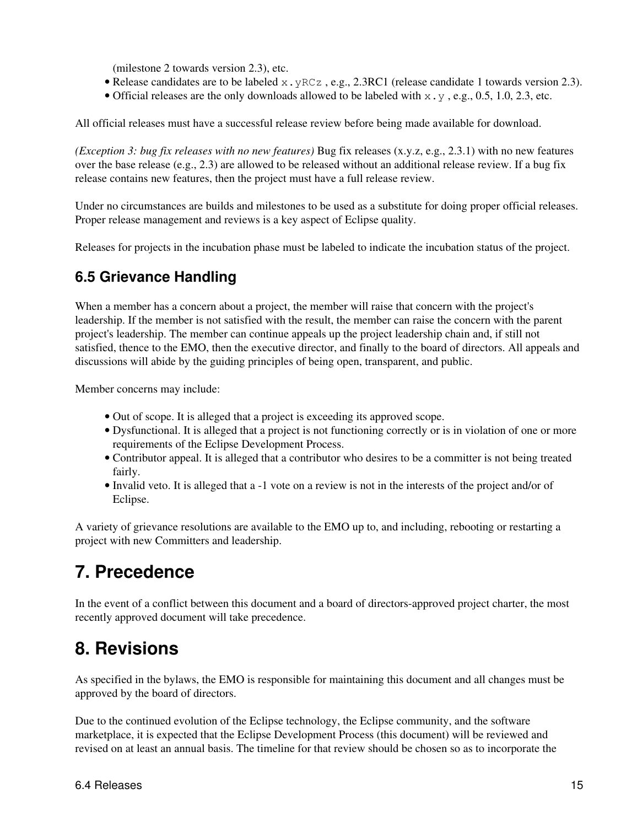(milestone 2 towards version 2.3), etc.

- Release candidates are to be labeled  $x.$  yRCz, e.g., 2.3RC1 (release candidate 1 towards version 2.3).
- Official releases are the only downloads allowed to be labeled with  $x, y$ , e.g., 0.5, 1.0, 2.3, etc.

All official releases must have a successful release review before being made available for download.

*(Exception 3: bug fix releases with no new features)* Bug fix releases (x.y.z, e.g., 2.3.1) with no new features over the base release (e.g., 2.3) are allowed to be released without an additional release review. If a bug fix release contains new features, then the project must have a full release review.

Under no circumstances are builds and milestones to be used as a substitute for doing proper official releases. Proper release management and reviews is a key aspect of Eclipse quality.

Releases for projects in the incubation phase must be labeled to indicate the incubation status of the project.

### **6.5 Grievance Handling**

When a member has a concern about a project, the member will raise that concern with the project's leadership. If the member is not satisfied with the result, the member can raise the concern with the parent project's leadership. The member can continue appeals up the project leadership chain and, if still not satisfied, thence to the EMO, then the executive director, and finally to the board of directors. All appeals and discussions will abide by the guiding principles of being open, transparent, and public.

Member concerns may include:

- Out of scope. It is alleged that a project is exceeding its approved scope.
- Dysfunctional. It is alleged that a project is not functioning correctly or is in violation of one or more requirements of the Eclipse Development Process.
- Contributor appeal. It is alleged that a contributor who desires to be a committer is not being treated fairly.
- Invalid veto. It is alleged that a -1 vote on a review is not in the interests of the project and/or of Eclipse.

A variety of grievance resolutions are available to the EMO up to, and including, rebooting or restarting a project with new Committers and leadership.

## **7. Precedence**

In the event of a conflict between this document and a board of directors-approved project charter, the most recently approved document will take precedence.

## **8. Revisions**

As specified in the bylaws, the EMO is responsible for maintaining this document and all changes must be approved by the board of directors.

Due to the continued evolution of the Eclipse technology, the Eclipse community, and the software marketplace, it is expected that the Eclipse Development Process (this document) will be reviewed and revised on at least an annual basis. The timeline for that review should be chosen so as to incorporate the